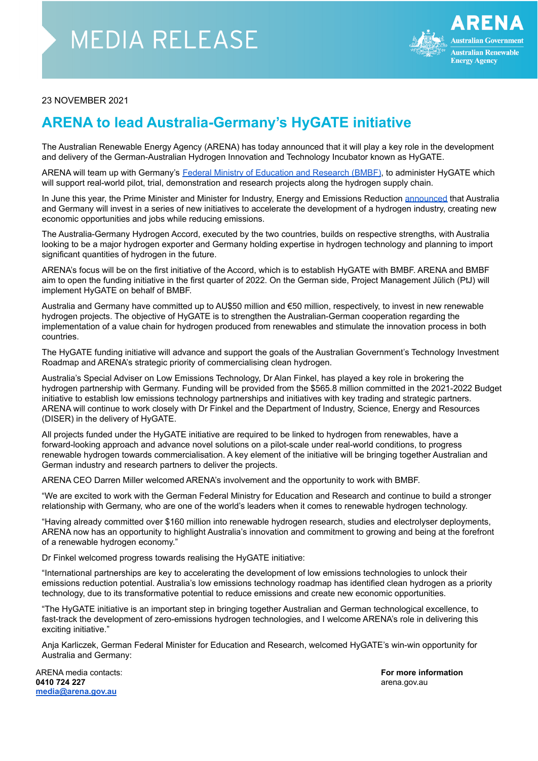## **MEDIA RELEASE**



## 23 NOVEMBER 2021

## **ARENA to lead Australia-Germany's HyGATE initiative**

The Australian Renewable Energy Agency (ARENA) has today announced that it will play a key role in the development and delivery of the German-Australian Hydrogen Innovation and Technology Incubator known as HyGATE.

ARENA will team up with Germany's Federal Ministry of [Education](https://www.bmbf.de/bmbf/en/home/home_node.html) and Research (BMBF), to administer HyGATE which will support real-world pilot, trial, demonstration and research projects along the hydrogen supply chain.

In June this year, the Prime Minister and Minister for Industry, Energy and Emissions Reduction [announced](https://www.minister.industry.gov.au/ministers/taylor/media-releases/australia-and-germany-partner-hydrogen-initiatives) that Australia and Germany will invest in a series of new initiatives to accelerate the development of a hydrogen industry, creating new economic opportunities and jobs while reducing emissions.

The Australia-Germany Hydrogen Accord, executed by the two countries, builds on respective strengths, with Australia looking to be a major hydrogen exporter and Germany holding expertise in hydrogen technology and planning to import significant quantities of hydrogen in the future.

ARENA's focus will be on the first initiative of the Accord, which is to establish HyGATE with BMBF. ARENA and BMBF aim to open the funding initiative in the first quarter of 2022. On the German side, Project Management Jülich (PtJ) will implement HyGATE on behalf of BMBF.

Australia and Germany have committed up to AU\$50 million and €50 million, respectively, to invest in new renewable hydrogen projects. The objective of HyGATE is to strengthen the Australian-German cooperation regarding the implementation of a value chain for hydrogen produced from renewables and stimulate the innovation process in both countries.

The HyGATE funding initiative will advance and support the goals of the Australian Government's Technology Investment Roadmap and ARENA's strategic priority of commercialising clean hydrogen.

Australia's Special Adviser on Low Emissions Technology, Dr Alan Finkel, has played a key role in brokering the hydrogen partnership with Germany. Funding will be provided from the \$565.8 million committed in the 2021-2022 Budget initiative to establish low emissions technology partnerships and initiatives with key trading and strategic partners. ARENA will continue to work closely with Dr Finkel and the Department of Industry, Science, Energy and Resources (DISER) in the delivery of HyGATE.

All projects funded under the HyGATE initiative are required to be linked to hydrogen from renewables, have a forward-looking approach and advance novel solutions on a pilot-scale under real-world conditions, to progress renewable hydrogen towards commercialisation. A key element of the initiative will be bringing together Australian and German industry and research partners to deliver the projects.

ARENA CEO Darren Miller welcomed ARENA's involvement and the opportunity to work with BMBF.

"We are excited to work with the German Federal Ministry for Education and Research and continue to build a stronger relationship with Germany, who are one of the world's leaders when it comes to renewable hydrogen technology.

"Having already committed over \$160 million into renewable hydrogen research, studies and electrolyser deployments, ARENA now has an opportunity to highlight Australia's innovation and commitment to growing and being at the forefront of a renewable hydrogen economy."

Dr Finkel welcomed progress towards realising the HyGATE initiative:

"International partnerships are key to accelerating the development of low emissions technologies to unlock their emissions reduction potential. Australia's low emissions technology roadmap has identified clean hydrogen as a priority technology, due to its transformative potential to reduce emissions and create new economic opportunities.

"The HyGATE initiative is an important step in bringing together Australian and German technological excellence, to fast-track the development of zero-emissions hydrogen technologies, and I welcome ARENA's role in delivering this exciting initiative."

Anja Karliczek, German Federal Minister for Education and Research, welcomed HyGATE's win-win opportunity for Australia and Germany:

ARENA media contacts: **For more information 0410 724 227** arena.gov.au arena.gov.au arena.gov.au arena.gov.au arena.gov.au arena.gov.au arena.gov.au arena.gov.au **[media@arena.gov.au](mailto:media@arena.gov.au)**